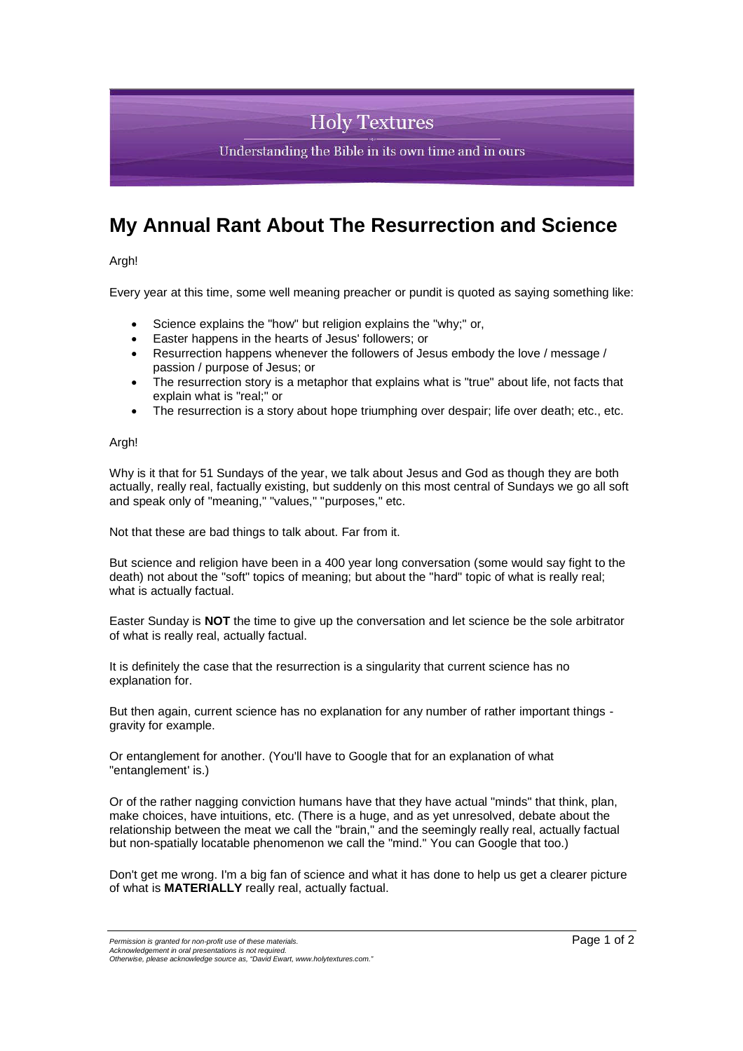## **Holy Textures**

Understanding the Bible in its own time and in ours

## **My Annual Rant About The Resurrection and Science**

Argh!

Every year at this time, some well meaning preacher or pundit is quoted as saying something like:

- Science explains the "how" but religion explains the "why;" or,
- Easter happens in the hearts of Jesus' followers; or
- Resurrection happens whenever the followers of Jesus embody the love / message / passion / purpose of Jesus; or
- The resurrection story is a metaphor that explains what is "true" about life, not facts that explain what is "real;" or
- The resurrection is a story about hope triumphing over despair; life over death; etc., etc.

## Argh!

Why is it that for 51 Sundays of the year, we talk about Jesus and God as though they are both actually, really real, factually existing, but suddenly on this most central of Sundays we go all soft and speak only of "meaning," "values," "purposes," etc.

Not that these are bad things to talk about. Far from it.

But science and religion have been in a 400 year long conversation (some would say fight to the death) not about the "soft" topics of meaning; but about the "hard" topic of what is really real; what is actually factual.

Easter Sunday is **NOT** the time to give up the conversation and let science be the sole arbitrator of what is really real, actually factual.

It is definitely the case that the resurrection is a singularity that current science has no explanation for.

But then again, current science has no explanation for any number of rather important things gravity for example.

Or entanglement for another. (You'll have to Google that for an explanation of what "entanglement' is.)

Or of the rather nagging conviction humans have that they have actual "minds" that think, plan, make choices, have intuitions, etc. (There is a huge, and as yet unresolved, debate about the relationship between the meat we call the "brain," and the seemingly really real, actually factual but non-spatially locatable phenomenon we call the "mind." You can Google that too.)

Don't get me wrong. I'm a big fan of science and what it has done to help us get a clearer picture of what is **MATERIALLY** really real, actually factual.

*Permission is granted for non-profit use of these materials Acknowledgement in oral presentations is not required.*

*Otherwise, please acknowledge source as, "David Ewart, www.holytextures.com."*